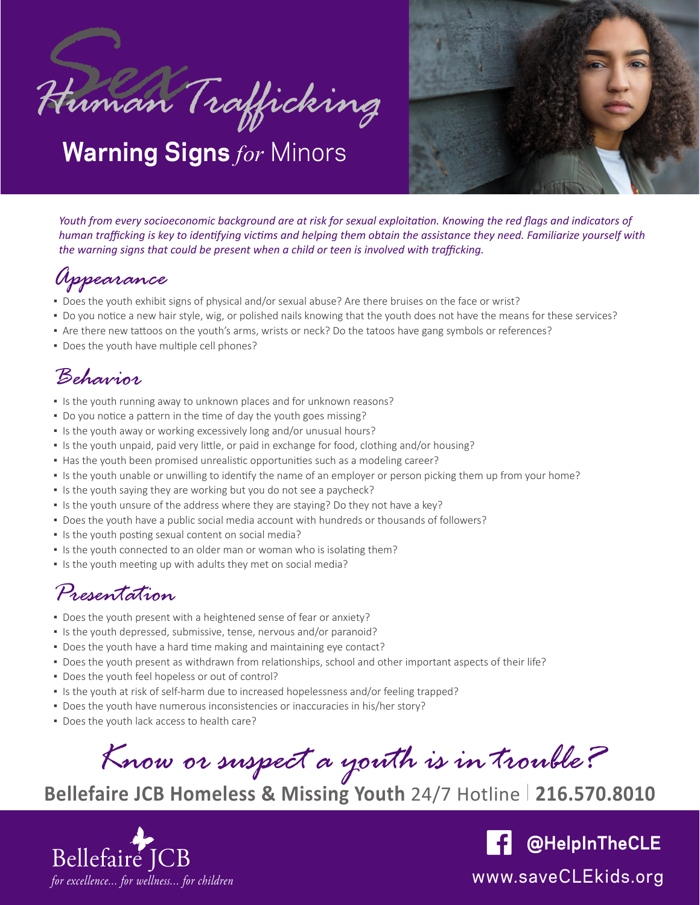



*Youth from every socioeconomic background are at risk for sexual exploitation. Knowing the red flags and indicators of human trafficking is key to identifying victims and helping them obtain the assistance they need. Familiarize yourself with the warning signs that could be present when a child or teen is involved with trafficking.*

# *Appearance*

- Does the youth exhibit signs of physical and/or sexual abuse? Are there bruises on the face or wrist?
- Do you notice a new hair style, wig, or polished nails knowing that the youth does not have the means for these services?
- Are there new tattoos on the youth's arms, wrists or neck? Do the tatoos have gang symbols or references?
- Does the youth have multiple cell phones?

## *Behavior*

- **.** Is the youth running away to unknown places and for unknown reasons?
- Do you notice a pattern in the time of day the youth goes missing?
- **.** Is the youth away or working excessively long and/or unusual hours?
- Is the youth unpaid, paid very little, or paid in exchange for food, clothing and/or housing?
- . Has the youth been promised unrealistic opportunities such as a modeling career?
- Is the youth unable or unwilling to identify the name of an employer or person picking them up from your home?
- **.** Is the youth saying they are working but you do not see a paycheck?
- Is the youth unsure of the address where they are staying? Do they not have a key?
- Does the youth have a public social media account with hundreds or thousands of followers?
- **.** Is the youth posting sexual content on social media?
- Is the youth connected to an older man or woman who is isolating them?
- **.** Is the youth meeting up with adults they met on social media?

### *Presentation*

- Does the youth present with a heightened sense of fear or anxiety?
- Is the youth depressed, submissive, tense, nervous and/or paranoid?
- Does the youth have a hard time making and maintaining eye contact?
- Does the youth present as withdrawn from relationships, school and other important aspects of their life?
- Does the youth feel hopeless or out of control?
- Is the youth at risk of self-harm due to increased hopelessness and/or feeling trapped?
- Does the youth have numerous inconsistencies or inaccuracies in his/her story?
- Does the youth lack access to health care?

*Know or suspect a youth is in trouble?*

**Bellefaire JCB Homeless & Missing Youth** 24/7 Hotline 216.570.8010



**@HelpInTheCLE** $\vert f \vert$